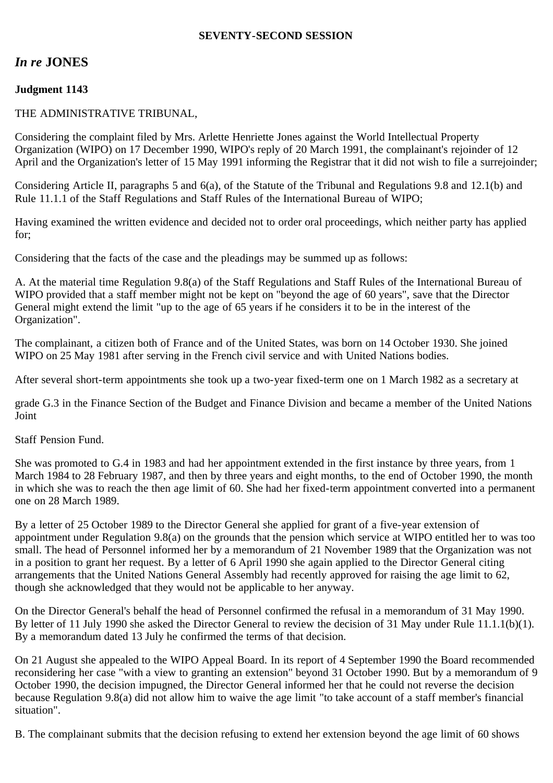### **SEVENTY-SECOND SESSION**

# *In re* **JONES**

## **Judgment 1143**

### THE ADMINISTRATIVE TRIBUNAL,

Considering the complaint filed by Mrs. Arlette Henriette Jones against the World Intellectual Property Organization (WIPO) on 17 December 1990, WIPO's reply of 20 March 1991, the complainant's rejoinder of 12 April and the Organization's letter of 15 May 1991 informing the Registrar that it did not wish to file a surrejoinder;

Considering Article II, paragraphs 5 and 6(a), of the Statute of the Tribunal and Regulations 9.8 and 12.1(b) and Rule 11.1.1 of the Staff Regulations and Staff Rules of the International Bureau of WIPO;

Having examined the written evidence and decided not to order oral proceedings, which neither party has applied for;

Considering that the facts of the case and the pleadings may be summed up as follows:

A. At the material time Regulation 9.8(a) of the Staff Regulations and Staff Rules of the International Bureau of WIPO provided that a staff member might not be kept on "beyond the age of 60 years", save that the Director General might extend the limit "up to the age of 65 years if he considers it to be in the interest of the Organization".

The complainant, a citizen both of France and of the United States, was born on 14 October 1930. She joined WIPO on 25 May 1981 after serving in the French civil service and with United Nations bodies.

After several short-term appointments she took up a two-year fixed-term one on 1 March 1982 as a secretary at

grade G.3 in the Finance Section of the Budget and Finance Division and became a member of the United Nations Joint

Staff Pension Fund.

She was promoted to G.4 in 1983 and had her appointment extended in the first instance by three years, from 1 March 1984 to 28 February 1987, and then by three years and eight months, to the end of October 1990, the month in which she was to reach the then age limit of 60. She had her fixed-term appointment converted into a permanent one on 28 March 1989.

By a letter of 25 October 1989 to the Director General she applied for grant of a five-year extension of appointment under Regulation 9.8(a) on the grounds that the pension which service at WIPO entitled her to was too small. The head of Personnel informed her by a memorandum of 21 November 1989 that the Organization was not in a position to grant her request. By a letter of 6 April 1990 she again applied to the Director General citing arrangements that the United Nations General Assembly had recently approved for raising the age limit to 62, though she acknowledged that they would not be applicable to her anyway.

On the Director General's behalf the head of Personnel confirmed the refusal in a memorandum of 31 May 1990. By letter of 11 July 1990 she asked the Director General to review the decision of 31 May under Rule 11.1.1(b)(1). By a memorandum dated 13 July he confirmed the terms of that decision.

On 21 August she appealed to the WIPO Appeal Board. In its report of 4 September 1990 the Board recommended reconsidering her case "with a view to granting an extension" beyond 31 October 1990. But by a memorandum of 9 October 1990, the decision impugned, the Director General informed her that he could not reverse the decision because Regulation 9.8(a) did not allow him to waive the age limit "to take account of a staff member's financial situation".

B. The complainant submits that the decision refusing to extend her extension beyond the age limit of 60 shows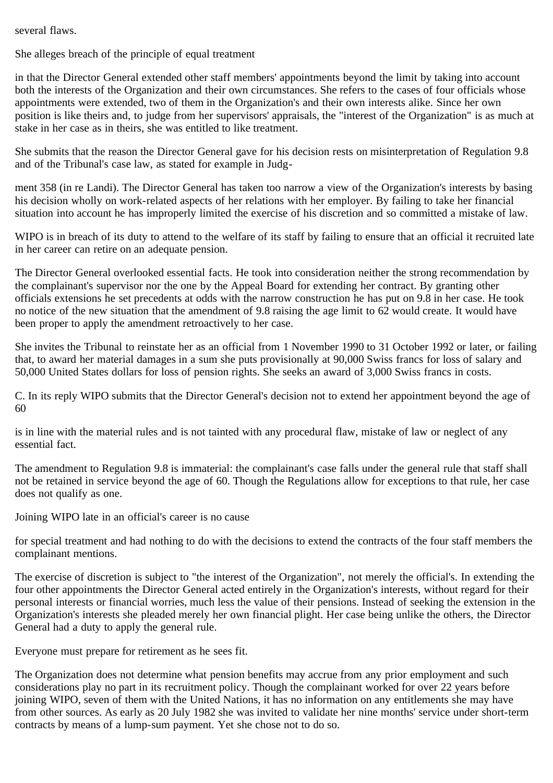several flaws.

She alleges breach of the principle of equal treatment

in that the Director General extended other staff members' appointments beyond the limit by taking into account both the interests of the Organization and their own circumstances. She refers to the cases of four officials whose appointments were extended, two of them in the Organization's and their own interests alike. Since her own position is like theirs and, to judge from her supervisors' appraisals, the "interest of the Organization" is as much at stake in her case as in theirs, she was entitled to like treatment.

She submits that the reason the Director General gave for his decision rests on misinterpretation of Regulation 9.8 and of the Tribunal's case law, as stated for example in Judg-

ment 358 (in re Landi). The Director General has taken too narrow a view of the Organization's interests by basing his decision wholly on work-related aspects of her relations with her employer. By failing to take her financial situation into account he has improperly limited the exercise of his discretion and so committed a mistake of law.

WIPO is in breach of its duty to attend to the welfare of its staff by failing to ensure that an official it recruited late in her career can retire on an adequate pension.

The Director General overlooked essential facts. He took into consideration neither the strong recommendation by the complainant's supervisor nor the one by the Appeal Board for extending her contract. By granting other officials extensions he set precedents at odds with the narrow construction he has put on 9.8 in her case. He took no notice of the new situation that the amendment of 9.8 raising the age limit to 62 would create. It would have been proper to apply the amendment retroactively to her case.

She invites the Tribunal to reinstate her as an official from 1 November 1990 to 31 October 1992 or later, or failing that, to award her material damages in a sum she puts provisionally at 90,000 Swiss francs for loss of salary and 50,000 United States dollars for loss of pension rights. She seeks an award of 3,000 Swiss francs in costs.

C. In its reply WIPO submits that the Director General's decision not to extend her appointment beyond the age of 60

is in line with the material rules and is not tainted with any procedural flaw, mistake of law or neglect of any essential fact.

The amendment to Regulation 9.8 is immaterial: the complainant's case falls under the general rule that staff shall not be retained in service beyond the age of 60. Though the Regulations allow for exceptions to that rule, her case does not qualify as one.

Joining WIPO late in an official's career is no cause

for special treatment and had nothing to do with the decisions to extend the contracts of the four staff members the complainant mentions.

The exercise of discretion is subject to "the interest of the Organization", not merely the official's. In extending the four other appointments the Director General acted entirely in the Organization's interests, without regard for their personal interests or financial worries, much less the value of their pensions. Instead of seeking the extension in the Organization's interests she pleaded merely her own financial plight. Her case being unlike the others, the Director General had a duty to apply the general rule.

Everyone must prepare for retirement as he sees fit.

The Organization does not determine what pension benefits may accrue from any prior employment and such considerations play no part in its recruitment policy. Though the complainant worked for over 22 years before joining WIPO, seven of them with the United Nations, it has no information on any entitlements she may have from other sources. As early as 20 July 1982 she was invited to validate her nine months' service under short-term contracts by means of a lump-sum payment. Yet she chose not to do so.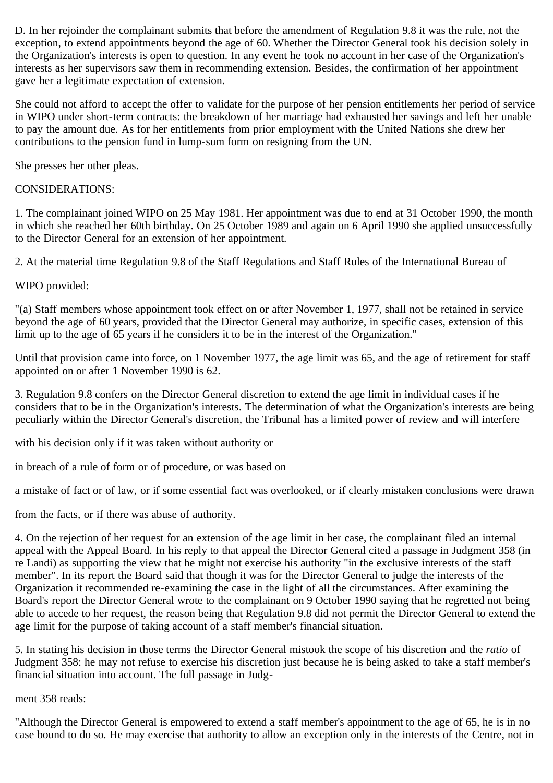D. In her rejoinder the complainant submits that before the amendment of Regulation 9.8 it was the rule, not the exception, to extend appointments beyond the age of 60. Whether the Director General took his decision solely in the Organization's interests is open to question. In any event he took no account in her case of the Organization's interests as her supervisors saw them in recommending extension. Besides, the confirmation of her appointment gave her a legitimate expectation of extension.

She could not afford to accept the offer to validate for the purpose of her pension entitlements her period of service in WIPO under short-term contracts: the breakdown of her marriage had exhausted her savings and left her unable to pay the amount due. As for her entitlements from prior employment with the United Nations she drew her contributions to the pension fund in lump-sum form on resigning from the UN.

She presses her other pleas.

### CONSIDERATIONS:

1. The complainant joined WIPO on 25 May 1981. Her appointment was due to end at 31 October 1990, the month in which she reached her 60th birthday. On 25 October 1989 and again on 6 April 1990 she applied unsuccessfully to the Director General for an extension of her appointment.

2. At the material time Regulation 9.8 of the Staff Regulations and Staff Rules of the International Bureau of

WIPO provided:

"(a) Staff members whose appointment took effect on or after November 1, 1977, shall not be retained in service beyond the age of 60 years, provided that the Director General may authorize, in specific cases, extension of this limit up to the age of 65 years if he considers it to be in the interest of the Organization."

Until that provision came into force, on 1 November 1977, the age limit was 65, and the age of retirement for staff appointed on or after 1 November 1990 is 62.

3. Regulation 9.8 confers on the Director General discretion to extend the age limit in individual cases if he considers that to be in the Organization's interests. The determination of what the Organization's interests are being peculiarly within the Director General's discretion, the Tribunal has a limited power of review and will interfere

with his decision only if it was taken without authority or

in breach of a rule of form or of procedure, or was based on

a mistake of fact or of law, or if some essential fact was overlooked, or if clearly mistaken conclusions were drawn

from the facts, or if there was abuse of authority.

4. On the rejection of her request for an extension of the age limit in her case, the complainant filed an internal appeal with the Appeal Board. In his reply to that appeal the Director General cited a passage in Judgment 358 (in re Landi) as supporting the view that he might not exercise his authority "in the exclusive interests of the staff member". In its report the Board said that though it was for the Director General to judge the interests of the Organization it recommended re-examining the case in the light of all the circumstances. After examining the Board's report the Director General wrote to the complainant on 9 October 1990 saying that he regretted not being able to accede to her request, the reason being that Regulation 9.8 did not permit the Director General to extend the age limit for the purpose of taking account of a staff member's financial situation.

5. In stating his decision in those terms the Director General mistook the scope of his discretion and the *ratio* of Judgment 358: he may not refuse to exercise his discretion just because he is being asked to take a staff member's financial situation into account. The full passage in Judg-

ment 358 reads:

"Although the Director General is empowered to extend a staff member's appointment to the age of 65, he is in no case bound to do so. He may exercise that authority to allow an exception only in the interests of the Centre, not in